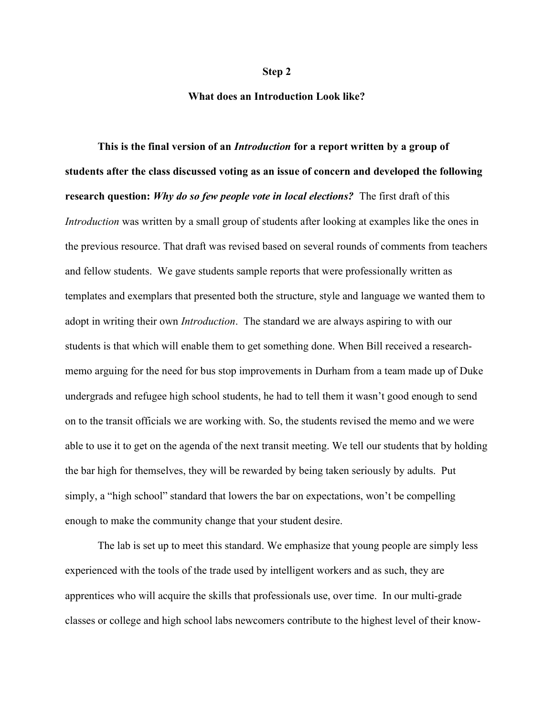## Step 2

## What does an Introduction Look like?

This is the final version of an *Introduction* for a report written by a group of students after the class discussed voting as an issue of concern and developed the following research question: Why do so few people vote in local elections? The first draft of this Introduction was written by a small group of students after looking at examples like the ones in the previous resource. That draft was revised based on several rounds of comments from teachers and fellow students. We gave students sample reports that were professionally written as templates and exemplars that presented both the structure, style and language we wanted them to adopt in writing their own *Introduction*. The standard we are always aspiring to with our students is that which will enable them to get something done. When Bill received a researchmemo arguing for the need for bus stop improvements in Durham from a team made up of Duke undergrads and refugee high school students, he had to tell them it wasn't good enough to send on to the transit officials we are working with. So, the students revised the memo and we were able to use it to get on the agenda of the next transit meeting. We tell our students that by holding the bar high for themselves, they will be rewarded by being taken seriously by adults. Put simply, a "high school" standard that lowers the bar on expectations, won't be compelling enough to make the community change that your student desire.

The lab is set up to meet this standard. We emphasize that young people are simply less experienced with the tools of the trade used by intelligent workers and as such, they are apprentices who will acquire the skills that professionals use, over time. In our multi-grade classes or college and high school labs newcomers contribute to the highest level of their know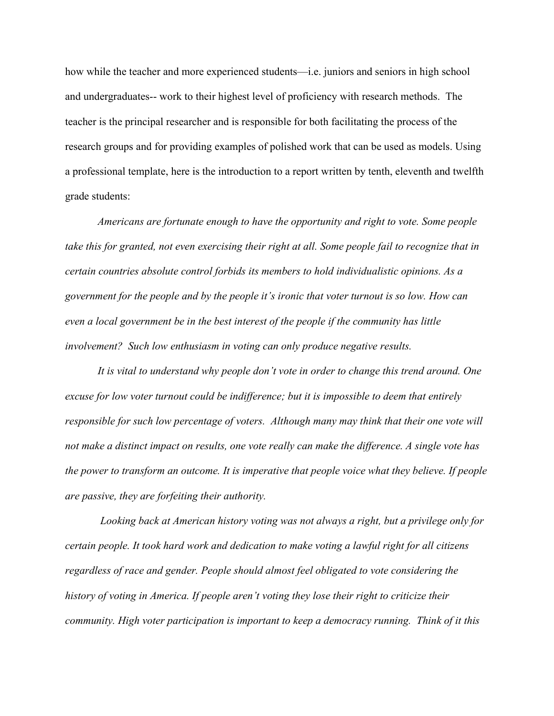how while the teacher and more experienced students—i.e. juniors and seniors in high school and undergraduates-- work to their highest level of proficiency with research methods. The teacher is the principal researcher and is responsible for both facilitating the process of the research groups and for providing examples of polished work that can be used as models. Using a professional template, here is the introduction to a report written by tenth, eleventh and twelfth grade students:

Americans are fortunate enough to have the opportunity and right to vote. Some people take this for granted, not even exercising their right at all. Some people fail to recognize that in certain countries absolute control forbids its members to hold individualistic opinions. As a government for the people and by the people it's ironic that voter turnout is so low. How can even a local government be in the best interest of the people if the community has little involvement? Such low enthusiasm in voting can only produce negative results.

It is vital to understand why people don't vote in order to change this trend around. One excuse for low voter turnout could be indifference; but it is impossible to deem that entirely responsible for such low percentage of voters. Although many may think that their one vote will not make a distinct impact on results, one vote really can make the difference. A single vote has the power to transform an outcome. It is imperative that people voice what they believe. If people are passive, they are forfeiting their authority.

 Looking back at American history voting was not always a right, but a privilege only for certain people. It took hard work and dedication to make voting a lawful right for all citizens regardless of race and gender. People should almost feel obligated to vote considering the history of voting in America. If people aren't voting they lose their right to criticize their community. High voter participation is important to keep a democracy running. Think of it this